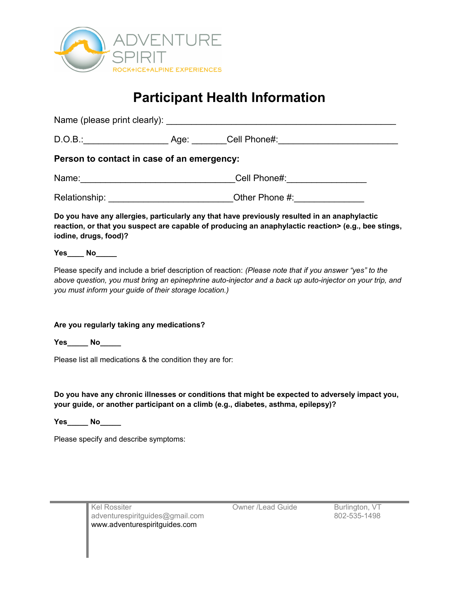

# **Participant Health Information**

Name (please print clearly):  $\blacksquare$ D.O.B.: Cell Phone#: **Person to contact in case of an emergency:** Name: which is a set of the Cell Phone#: Relationship: \_\_\_\_\_\_\_\_\_\_\_\_\_\_\_\_\_\_\_\_\_\_\_\_\_Other Phone #:\_\_\_\_\_\_\_\_\_\_\_\_\_\_ **Do you have any allergies, particularly any that have previously resulted in an anaphylactic** 

**reaction, or that you suspect are capable of producing an anaphylactic reaction> (e.g., bee stings, iodine, drugs, food)?**

## **Yes\_\_\_\_ No\_\_\_\_\_**

Please specify and include a brief description of reaction: *(Please note that if you answer "yes" to the above question, you must bring an epinephrine auto-injector and a back up auto-injector on your trip, and you must inform your guide of their storage location.)*

### **Are you regularly taking any medications?**

**Yes\_\_\_\_\_ No\_\_\_\_\_**

Please list all medications & the condition they are for:

**Do you have any chronic illnesses or conditions that might be expected to adversely impact you, your guide, or another participant on a climb (e.g., diabetes, asthma, epilepsy)?** 

**Yes\_\_\_\_\_ No\_\_\_\_\_**

Please specify and describe symptoms:

Kel Rossiter **Communist Communist Communist Communist Contract Contract Contract Contract Contract Contract Contract Contract Contract Contract Contract Contract Contract Contract Contract Contract Contract Contract Contra** adventurespiritguides@gmail.com 802-535-1498 [www.adventurespiritguides.com](http://www.adventurespiritguides.com/)